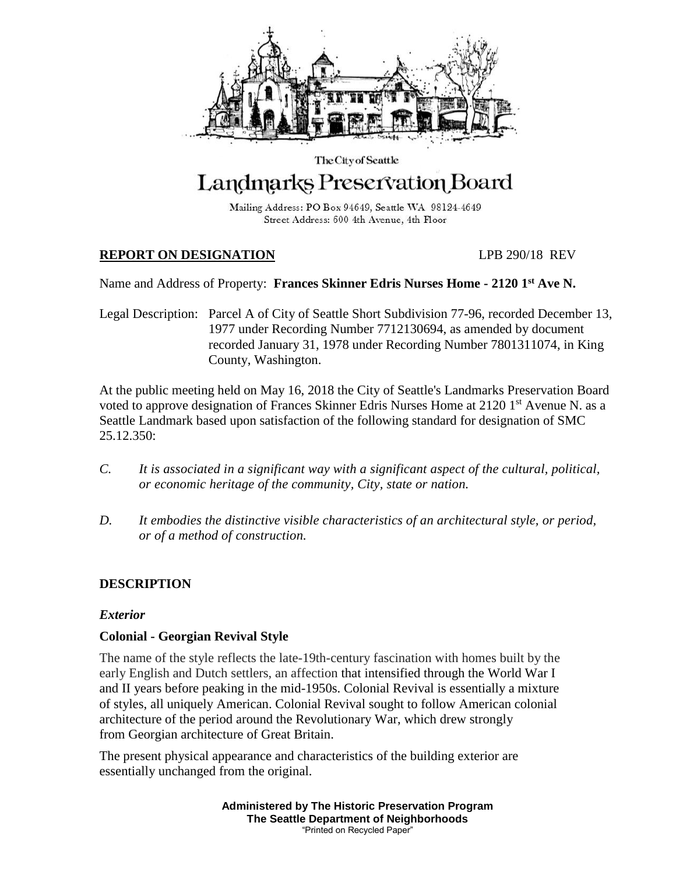

# The City of Seattle Landmarks Preservation Board

Mailing Address: PO Box 94649, Seattle WA 98124-4649 Street Address: 600 4th Avenue, 4th Floor

# **REPORT ON DESIGNATION** LPB 290/18 REV

Name and Address of Property: **Frances Skinner Edris Nurses Home - 2120 1st Ave N.**

Legal Description: Parcel A of City of Seattle Short Subdivision 77-96, recorded December 13, 1977 under Recording Number 7712130694, as amended by document recorded January 31, 1978 under Recording Number 7801311074, in King County, Washington.

At the public meeting held on May 16, 2018 the City of Seattle's Landmarks Preservation Board voted to approve designation of Frances Skinner Edris Nurses Home at 2120 1<sup>st</sup> Avenue N. as a Seattle Landmark based upon satisfaction of the following standard for designation of SMC 25.12.350:

- *C. It is associated in a significant way with a significant aspect of the cultural, political, or economic heritage of the community, City, state or nation.*
- *D. It embodies the distinctive visible characteristics of an architectural style, or period, or of a method of construction.*

# **DESCRIPTION**

# *Exterior*

# **Colonial - Georgian Revival Style**

The name of the style reflects the late-19th-century fascination with homes built by the early English and Dutch settlers, an affection that intensified through the World War I and II years before peaking in the mid-1950s. Colonial Revival is essentially a mixture of styles, all uniquely American. Colonial Revival sought to follow [American colonial](https://en.wikipedia.org/wiki/American_colonial_architecture)  [architecture](https://en.wikipedia.org/wiki/American_colonial_architecture) of the period around the [Revolutionary War,](https://en.wikipedia.org/wiki/American_Revolutionary_War) which drew strongly from [Georgian architecture](https://en.wikipedia.org/wiki/Georgian_architecture) of Great Britain.

The present physical appearance and characteristics of the building exterior are essentially unchanged from the original.

> **Administered by The Historic Preservation Program The Seattle Department of Neighborhoods** "Printed on Recycled Paper"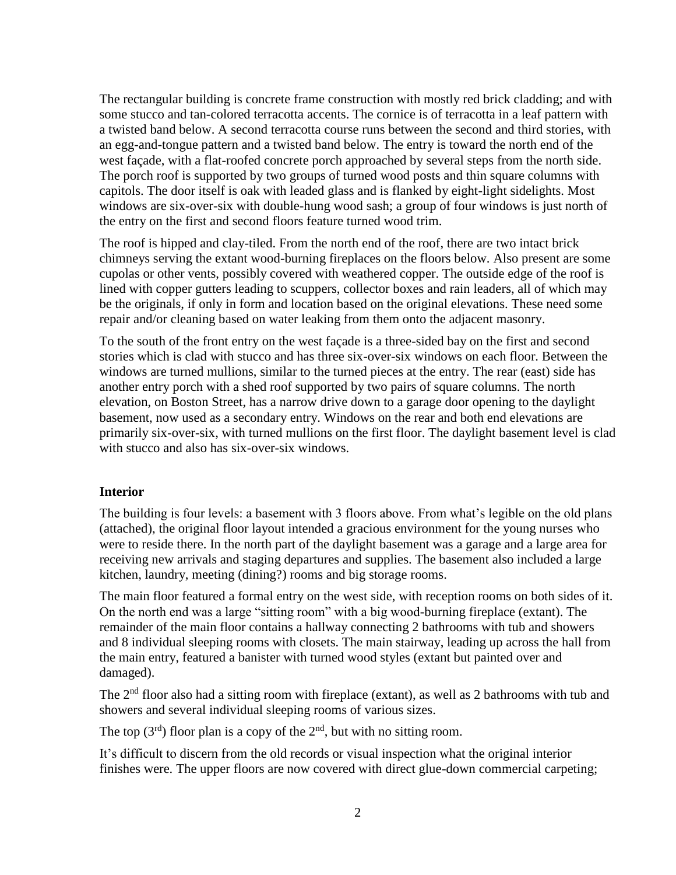The rectangular building is concrete frame construction with mostly red brick cladding; and with some stucco and tan-colored terracotta accents. The cornice is of terracotta in a leaf pattern with a twisted band below. A second terracotta course runs between the second and third stories, with an egg-and-tongue pattern and a twisted band below. The entry is toward the north end of the west façade, with a flat-roofed concrete porch approached by several steps from the north side. The porch roof is supported by two groups of turned wood posts and thin square columns with capitols. The door itself is oak with leaded glass and is flanked by eight-light sidelights. Most windows are six-over-six with double-hung wood sash; a group of four windows is just north of the entry on the first and second floors feature turned wood trim.

The roof is hipped and clay-tiled. From the north end of the roof, there are two intact brick chimneys serving the extant wood-burning fireplaces on the floors below. Also present are some cupolas or other vents, possibly covered with weathered copper. The outside edge of the roof is lined with copper gutters leading to scuppers, collector boxes and rain leaders, all of which may be the originals, if only in form and location based on the original elevations. These need some repair and/or cleaning based on water leaking from them onto the adjacent masonry.

To the south of the front entry on the west façade is a three-sided bay on the first and second stories which is clad with stucco and has three six-over-six windows on each floor. Between the windows are turned mullions, similar to the turned pieces at the entry. The rear (east) side has another entry porch with a shed roof supported by two pairs of square columns. The north elevation, on Boston Street, has a narrow drive down to a garage door opening to the daylight basement, now used as a secondary entry. Windows on the rear and both end elevations are primarily six-over-six, with turned mullions on the first floor. The daylight basement level is clad with stucco and also has six-over-six windows.

#### **Interior**

The building is four levels: a basement with 3 floors above. From what's legible on the old plans (attached), the original floor layout intended a gracious environment for the young nurses who were to reside there. In the north part of the daylight basement was a garage and a large area for receiving new arrivals and staging departures and supplies. The basement also included a large kitchen, laundry, meeting (dining?) rooms and big storage rooms.

The main floor featured a formal entry on the west side, with reception rooms on both sides of it. On the north end was a large "sitting room" with a big wood-burning fireplace (extant). The remainder of the main floor contains a hallway connecting 2 bathrooms with tub and showers and 8 individual sleeping rooms with closets. The main stairway, leading up across the hall from the main entry, featured a banister with turned wood styles (extant but painted over and damaged).

The  $2<sup>nd</sup>$  floor also had a sitting room with fireplace (extant), as well as 2 bathrooms with tub and showers and several individual sleeping rooms of various sizes.

The top  $(3<sup>rd</sup>)$  floor plan is a copy of the  $2<sup>nd</sup>$ , but with no sitting room.

It's difficult to discern from the old records or visual inspection what the original interior finishes were. The upper floors are now covered with direct glue-down commercial carpeting;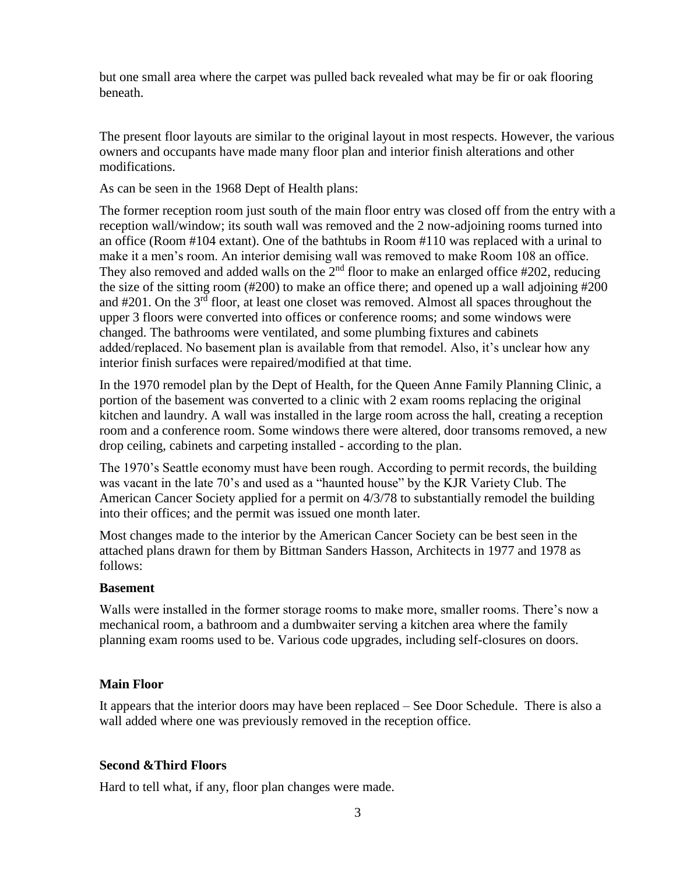but one small area where the carpet was pulled back revealed what may be fir or oak flooring beneath.

The present floor layouts are similar to the original layout in most respects. However, the various owners and occupants have made many floor plan and interior finish alterations and other modifications.

As can be seen in the 1968 Dept of Health plans:

The former reception room just south of the main floor entry was closed off from the entry with a reception wall/window; its south wall was removed and the 2 now-adjoining rooms turned into an office (Room #104 extant). One of the bathtubs in Room #110 was replaced with a urinal to make it a men's room. An interior demising wall was removed to make Room 108 an office. They also removed and added walls on the  $2<sup>nd</sup>$  floor to make an enlarged office #202, reducing the size of the sitting room (#200) to make an office there; and opened up a wall adjoining #200 and  $\#201$ . On the  $3<sup>rd</sup>$  floor, at least one closet was removed. Almost all spaces throughout the upper 3 floors were converted into offices or conference rooms; and some windows were changed. The bathrooms were ventilated, and some plumbing fixtures and cabinets added/replaced. No basement plan is available from that remodel. Also, it's unclear how any interior finish surfaces were repaired/modified at that time.

In the 1970 remodel plan by the Dept of Health, for the Queen Anne Family Planning Clinic, a portion of the basement was converted to a clinic with 2 exam rooms replacing the original kitchen and laundry. A wall was installed in the large room across the hall, creating a reception room and a conference room. Some windows there were altered, door transoms removed, a new drop ceiling, cabinets and carpeting installed - according to the plan.

The 1970's Seattle economy must have been rough. According to permit records, the building was vacant in the late 70's and used as a "haunted house" by the KJR Variety Club. The American Cancer Society applied for a permit on 4/3/78 to substantially remodel the building into their offices; and the permit was issued one month later.

Most changes made to the interior by the American Cancer Society can be best seen in the attached plans drawn for them by Bittman Sanders Hasson, Architects in 1977 and 1978 as follows:

# **Basement**

Walls were installed in the former storage rooms to make more, smaller rooms. There's now a mechanical room, a bathroom and a dumbwaiter serving a kitchen area where the family planning exam rooms used to be. Various code upgrades, including self-closures on doors.

# **Main Floor**

It appears that the interior doors may have been replaced – See Door Schedule. There is also a wall added where one was previously removed in the reception office.

# **Second &Third Floors**

Hard to tell what, if any, floor plan changes were made.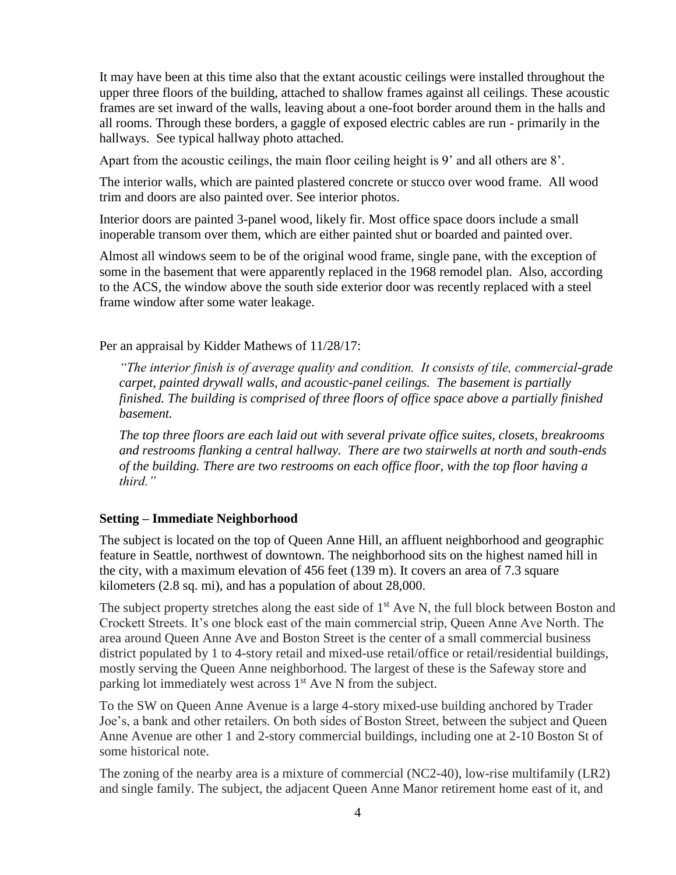It may have been at this time also that the extant acoustic ceilings were installed throughout the upper three floors of the building, attached to shallow frames against all ceilings. These acoustic frames are set inward of the walls, leaving about a one-foot border around them in the halls and all rooms. Through these borders, a gaggle of exposed electric cables are run - primarily in the hallways. See typical hallway photo attached.

Apart from the acoustic ceilings, the main floor ceiling height is 9' and all others are 8'.

The interior walls, which are painted plastered concrete or stucco over wood frame. All wood trim and doors are also painted over. See interior photos.

Interior doors are painted 3-panel wood, likely fir. Most office space doors include a small inoperable transom over them, which are either painted shut or boarded and painted over.

Almost all windows seem to be of the original wood frame, single pane, with the exception of some in the basement that were apparently replaced in the 1968 remodel plan. Also, according to the ACS, the window above the south side exterior door was recently replaced with a steel frame window after some water leakage.

Per an appraisal by Kidder Mathews of 11/28/17:

*"The interior finish is of average quality and condition. It consists of tile, commercial-grade carpet, painted drywall walls, and acoustic-panel ceilings. The basement is partially finished. The building is comprised of three floors of office space above a partially finished basement.* 

*The top three floors are each laid out with several private office suites, closets, breakrooms and restrooms flanking a central hallway. There are two stairwells at north and south-ends of the building. There are two restrooms on each office floor, with the top floor having a third."*

#### **Setting – Immediate Neighborhood**

The subject is located on the top of Queen Anne Hill, an affluent neighborhood and geographic feature in [Seattle,](https://en.wikipedia.org/wiki/Seattle) northwest of [downtown.](https://en.wikipedia.org/wiki/Downtown_Seattle) The neighborhood sits on the highest named hill in the city, with a maximum elevation of 456 feet (139 m). It covers an area of 7.3 square kilometers (2.8 sq. mi), and has a population of about 28,000.

The subject property stretches along the east side of  $1<sup>st</sup>$  Ave N, the full block between Boston and Crockett Streets. It's one block east of the main commercial strip, Queen Anne Ave North. The area around Queen Anne Ave and Boston Street is the center of a small commercial business district populated by 1 to 4-story retail and mixed-use retail/office or retail/residential buildings, mostly serving the Queen Anne neighborhood. The largest of these is the Safeway store and parking lot immediately west across  $1<sup>st</sup>$  Ave N from the subject.

To the SW on Queen Anne Avenue is a large 4-story mixed-use building anchored by Trader Joe's, a bank and other retailers. On both sides of Boston Street, between the subject and Queen Anne Avenue are other 1 and 2-story commercial buildings, including one at 2-10 Boston St of some historical note.

The zoning of the nearby area is a mixture of commercial (NC2-40), low-rise multifamily (LR2) and single family. The subject, the adjacent Queen Anne Manor retirement home east of it, and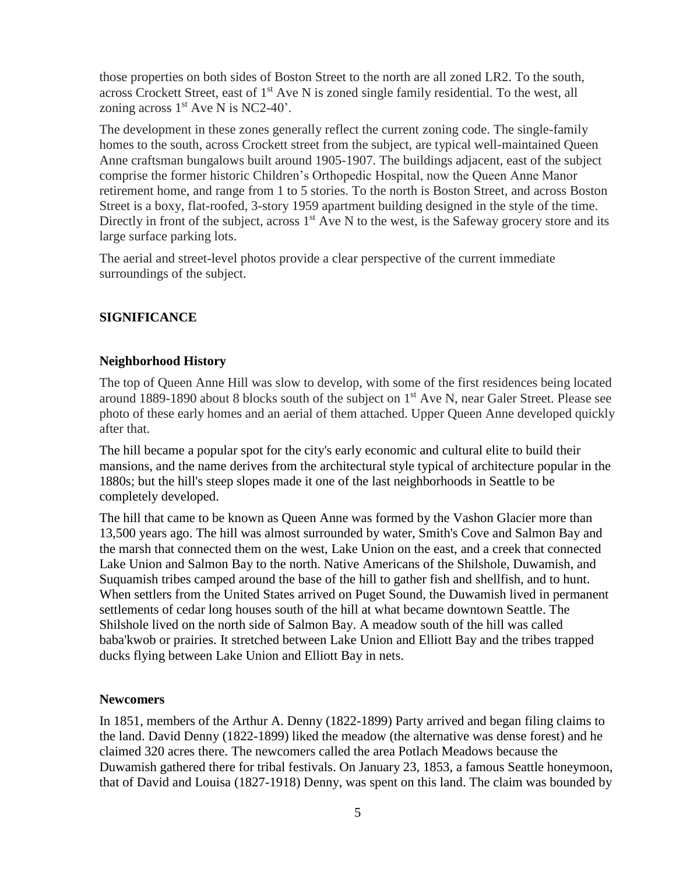those properties on both sides of Boston Street to the north are all zoned LR2. To the south, across Crockett Street, east of 1<sup>st</sup> Ave N is zoned single family residential. To the west, all zoning across  $1<sup>st</sup>$  Ave N is NC2-40'.

The development in these zones generally reflect the current zoning code. The single-family homes to the south, across Crockett street from the subject, are typical well-maintained Queen Anne craftsman bungalows built around 1905-1907. The buildings adjacent, east of the subject comprise the former historic Children's Orthopedic Hospital, now the Queen Anne Manor retirement home, and range from 1 to 5 stories. To the north is Boston Street, and across Boston Street is a boxy, flat-roofed, 3-story 1959 apartment building designed in the style of the time. Directly in front of the subject, across  $1<sup>st</sup>$  Ave N to the west, is the Safeway grocery store and its large surface parking lots.

The aerial and street-level photos provide a clear perspective of the current immediate surroundings of the subject.

#### **SIGNIFICANCE**

#### **Neighborhood History**

The top of Queen Anne Hill was slow to develop, with some of the first residences being located around 1889-1890 about 8 blocks south of the subject on 1<sup>st</sup> Ave N, near Galer Street. Please see photo of these early homes and an aerial of them attached. Upper Queen Anne developed quickly after that.

The hill became a popular spot for the city's early economic and cultural elite to build their mansions, and the name derives from the [architectural style](https://en.wikipedia.org/wiki/Queen_Anne_style_architecture_in_the_United_States) typical of architecture popular in the 1880s; but the hill's steep slopes made it one of the last neighborhoods in Seattle to be completely developed.

The hill that came to be known as Queen Anne was formed by the Vashon Glacier more than 13,500 years ago. The hill was almost surrounded by water, Smith's Cove and Salmon Bay and the marsh that connected them on the west, Lake Union on the east, and a creek that connected Lake Union and Salmon Bay to the north. Native Americans of the Shilshole, Duwamish, and Suquamish tribes camped around the base of the hill to gather fish and shellfish, and to hunt. When settlers from the United States arrived on Puget Sound, the Duwamish lived in permanent settlements of cedar long houses south of the hill at what became downtown Seattle. The Shilshole lived on the north side of Salmon Bay. A meadow south of the hill was called baba'kwob or prairies. It stretched between Lake Union and Elliott Bay and the tribes trapped ducks flying between Lake Union and Elliott Bay in nets.

#### **Newcomers**

In 1851, members of the Arthur A. Denny (1822-1899) Party arrived and began filing claims to the land. David Denny (1822-1899) liked the meadow (the alternative was dense forest) and he claimed 320 acres there. The newcomers called the area Potlach Meadows because the Duwamish gathered there for tribal festivals. On January 23, 1853, a famous Seattle honeymoon, that of David and Louisa (1827-1918) Denny, was spent on this land. The claim was bounded by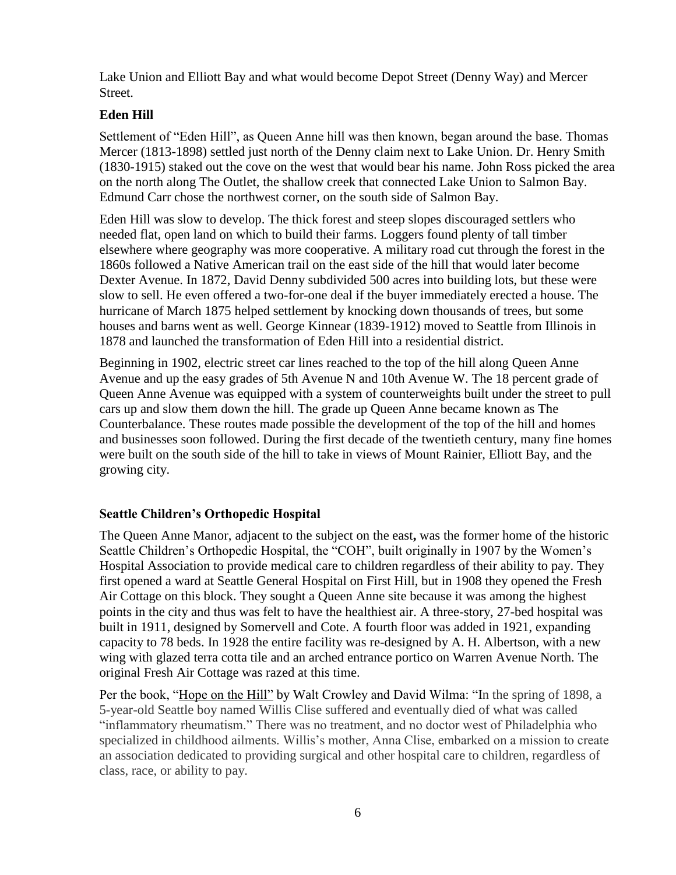Lake Union and Elliott Bay and what would become Depot Street (Denny Way) and Mercer Street.

# **Eden Hill**

Settlement of "Eden Hill", as Queen Anne hill was then known, began around the base. Thomas Mercer (1813-1898) settled just north of the Denny claim next to Lake Union. Dr. Henry Smith (1830-1915) staked out the cove on the west that would bear his name. John Ross picked the area on the north along The Outlet, the shallow creek that connected Lake Union to Salmon Bay. Edmund Carr chose the northwest corner, on the south side of Salmon Bay.

Eden Hill was slow to develop. The thick forest and steep slopes discouraged settlers who needed flat, open land on which to build their farms. Loggers found plenty of tall timber elsewhere where geography was more cooperative. A military road cut through the forest in the 1860s followed a Native American trail on the east side of the hill that would later become Dexter Avenue. In 1872, David Denny subdivided 500 acres into building lots, but these were slow to sell. He even offered a two-for-one deal if the buyer immediately erected a house. The hurricane of March 1875 helped settlement by knocking down thousands of trees, but some houses and barns went as well. George Kinnear (1839-1912) moved to Seattle from Illinois in 1878 and launched the transformation of Eden Hill into a residential district.

Beginning in 1902, electric street car lines reached to the top of the hill along Queen Anne Avenue and up the easy grades of 5th Avenue N and 10th Avenue W. The 18 percent grade of Queen Anne Avenue was equipped with a system of counterweights built under the street to pull cars up and slow them down the hill. The grade up Queen Anne became known as The Counterbalance. These routes made possible the development of the top of the hill and homes and businesses soon followed. During the first decade of the twentieth century, many fine homes were built on the south side of the hill to take in views of Mount Rainier, Elliott Bay, and the growing city.

# **Seattle Children's Orthopedic Hospital**

The Queen Anne Manor, adjacent to the subject on the east**,** was the former home of the historic Seattle Children's Orthopedic Hospital, the "COH", built originally in 1907 by the Women's Hospital Association to provide medical care to children regardless of their ability to pay. They first opened a ward at Seattle General Hospital on First Hill, but in 1908 they opened the Fresh Air Cottage on this block. They sought a Queen Anne site because it was among the highest points in the city and thus was felt to have the healthiest air. A three-story, 27-bed hospital was built in 1911, designed by Somervell and Cote. A fourth floor was added in 1921, expanding capacity to 78 beds. In 1928 the entire facility was re-designed by A. H. Albertson, with a new wing with glazed terra cotta tile and an arched entrance portico on Warren Avenue North. The original Fresh Air Cottage was razed at this time.

Per the book, "Hope on the Hill" by Walt Crowley and David Wilma: "In the spring of 1898, a 5-year-old Seattle boy named Willis Clise suffered and eventually died of what was called "inflammatory rheumatism." There was no treatment, and no doctor west of Philadelphia who specialized in childhood ailments. Willis's mother, Anna Clise, embarked on a mission to create an association dedicated to providing surgical and other hospital care to children, regardless of class, race, or ability to pay.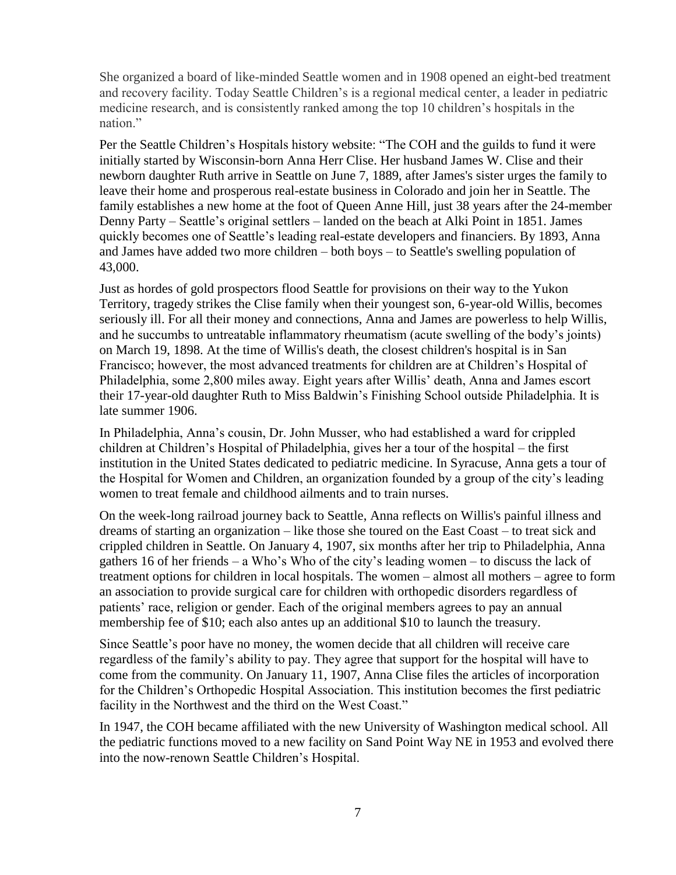She organized a board of like-minded Seattle women and in 1908 opened an eight-bed treatment and recovery facility. Today Seattle Children's is a regional medical center, a leader in pediatric medicine research, and is consistently ranked among the top 10 children's hospitals in the nation."

Per the Seattle Children's Hospitals history website: "The COH and the guilds to fund it were initially started by Wisconsin-born Anna Herr Clise. Her husband James W. Clise and their newborn daughter Ruth arrive in Seattle on June 7, 1889, after James's sister urges the family to leave their home and prosperous real-estate business in Colorado and join her in Seattle. The family establishes a new home at the foot of Queen Anne Hill, just 38 years after the 24-member Denny Party – Seattle's original settlers – landed on the beach at Alki Point in 1851. James quickly becomes one of Seattle's leading real-estate developers and financiers. By 1893, Anna and James have added two more children – both boys – to Seattle's swelling population of 43,000.

Just as hordes of gold prospectors flood Seattle for provisions on their way to the Yukon Territory, tragedy strikes the Clise family when their youngest son, 6-year-old Willis, becomes seriously ill. For all their money and connections, Anna and James are powerless to help Willis, and he succumbs to untreatable inflammatory rheumatism (acute swelling of the body's joints) on March 19, 1898. At the time of Willis's death, the closest children's hospital is in San Francisco; however, the most advanced treatments for children are at Children's Hospital of Philadelphia, some 2,800 miles away. Eight years after Willis' death, Anna and James escort their 17-year-old daughter Ruth to Miss Baldwin's Finishing School outside Philadelphia. It is late summer 1906.

In Philadelphia, Anna's cousin, Dr. John Musser, who had established a ward for crippled children at Children's Hospital of Philadelphia, gives her a tour of the hospital – the first institution in the United States dedicated to pediatric medicine. In Syracuse, Anna gets a tour of the Hospital for Women and Children, an organization founded by a group of the city's leading women to treat female and childhood ailments and to train nurses.

On the week-long railroad journey back to Seattle, Anna reflects on Willis's painful illness and dreams of starting an organization – like those she toured on the East Coast – to treat sick and crippled children in Seattle. On January 4, 1907, six months after her trip to Philadelphia, Anna gathers 16 of her friends – a Who's Who of the city's leading women – to discuss the lack of treatment options for children in local hospitals. The women – almost all mothers – agree to form an association to provide surgical care for children with orthopedic disorders regardless of patients' race, religion or gender. Each of the original members agrees to pay an annual membership fee of \$10; each also antes up an additional \$10 to launch the treasury.

Since Seattle's poor have no money, the women decide that all children will receive care regardless of the family's ability to pay. They agree that support for the hospital will have to come from the community. On January 11, 1907, Anna Clise files the articles of incorporation for the Children's Orthopedic Hospital Association. This institution becomes the first pediatric facility in the Northwest and the third on the West Coast."

In 1947, the COH became affiliated with the new University of Washington medical school. All the pediatric functions moved to a new facility on Sand Point Way NE in 1953 and evolved there into the now-renown Seattle Children's Hospital.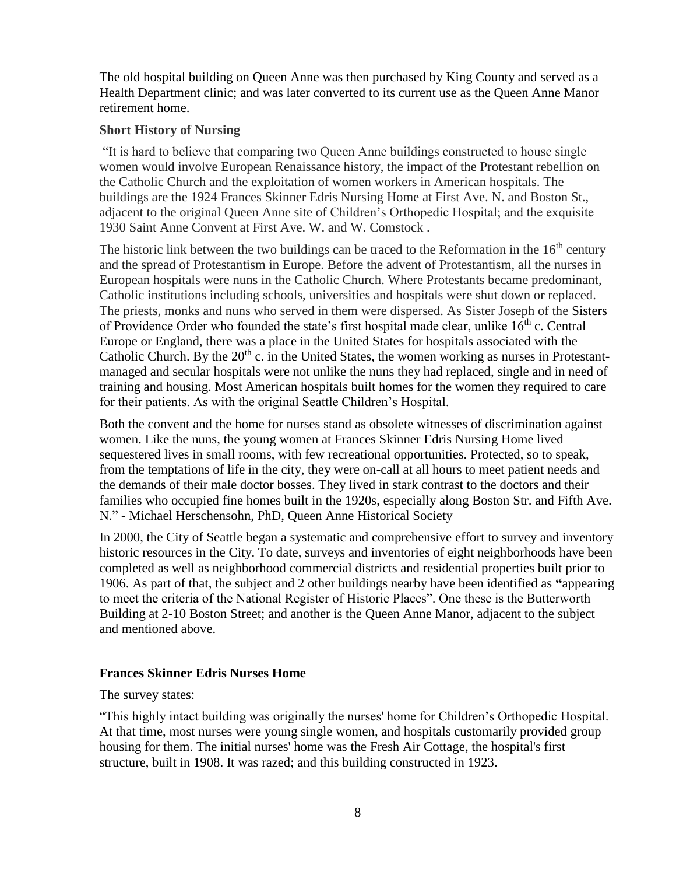The old hospital building on Queen Anne was then purchased by King County and served as a Health Department clinic; and was later converted to its current use as the Queen Anne Manor retirement home.

#### **Short History of Nursing**

"It is hard to believe that comparing two Queen Anne buildings constructed to house single women would involve European Renaissance history, the impact of the Protestant rebellion on the Catholic Church and the exploitation of women workers in American hospitals. The buildings are the 1924 Frances Skinner Edris Nursing Home at First Ave. N. and Boston St., adjacent to the original Queen Anne site of Children's Orthopedic Hospital; and the exquisite 1930 Saint Anne Convent at First Ave. W. and W. Comstock .

The historic link between the two buildings can be traced to the Reformation in the  $16<sup>th</sup>$  century and the spread of Protestantism in Europe. Before the advent of Protestantism, all the nurses in European hospitals were nuns in the Catholic Church. Where Protestants became predominant, Catholic institutions including schools, universities and hospitals were shut down or replaced. The priests, monks and nuns who served in them were dispersed. As Sister Joseph of the Sisters of Providence Order who founded the state's first hospital made clear, unlike  $16<sup>th</sup>$  c. Central Europe or England, there was a place in the United States for hospitals associated with the Catholic Church. By the  $20<sup>th</sup>$  c. in the United States, the women working as nurses in Protestantmanaged and secular hospitals were not unlike the nuns they had replaced, single and in need of training and housing. Most American hospitals built homes for the women they required to care for their patients. As with the original Seattle Children's Hospital.

Both the convent and the home for nurses stand as obsolete witnesses of discrimination against women. Like the nuns, the young women at Frances Skinner Edris Nursing Home lived sequestered lives in small rooms, with few recreational opportunities. Protected, so to speak, from the temptations of life in the city, they were on-call at all hours to meet patient needs and the demands of their male doctor bosses. They lived in stark contrast to the doctors and their families who occupied fine homes built in the 1920s, especially along Boston Str. and Fifth Ave. N." - Michael Herschensohn, PhD, Queen Anne Historical Society

In 2000, the City of Seattle began a systematic and comprehensive effort to survey and inventory historic resources in the City. To date, surveys and inventories of eight neighborhoods have been completed as well as neighborhood commercial districts and residential properties built prior to 1906. As part of that, the subject and 2 other buildings nearby have been identified as **"**appearing to meet the criteria of the National Register of Historic Places". One these is the Butterworth Building at 2-10 Boston Street; and another is the Queen Anne Manor, adjacent to the subject and mentioned above.

# **Frances Skinner Edris Nurses Home**

The survey states:

"This highly intact building was originally the nurses' home for Children's Orthopedic Hospital. At that time, most nurses were young single women, and hospitals customarily provided group housing for them. The initial nurses' home was the Fresh Air Cottage, the hospital's first structure, built in 1908. It was razed; and this building constructed in 1923.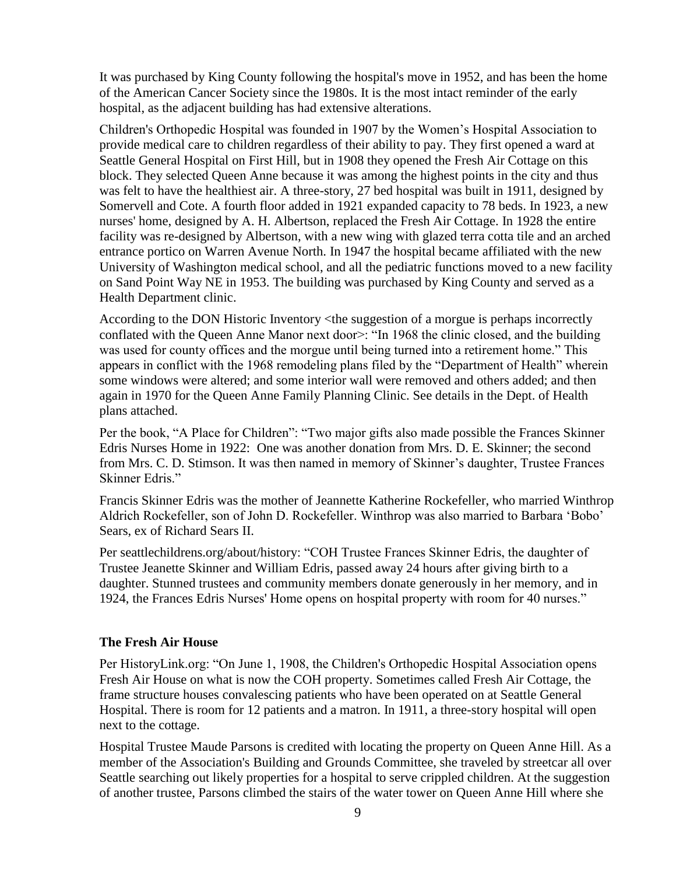It was purchased by King County following the hospital's move in 1952, and has been the home of the American Cancer Society since the 1980s. It is the most intact reminder of the early hospital, as the adjacent building has had extensive alterations.

Children's Orthopedic Hospital was founded in 1907 by the Women's Hospital Association to provide medical care to children regardless of their ability to pay. They first opened a ward at Seattle General Hospital on First Hill, but in 1908 they opened the Fresh Air Cottage on this block. They selected Queen Anne because it was among the highest points in the city and thus was felt to have the healthiest air. A three-story, 27 bed hospital was built in 1911, designed by Somervell and Cote. A fourth floor added in 1921 expanded capacity to 78 beds. In 1923, a new nurses' home, designed by A. H. Albertson, replaced the Fresh Air Cottage. In 1928 the entire facility was re-designed by Albertson, with a new wing with glazed terra cotta tile and an arched entrance portico on Warren Avenue North. In 1947 the hospital became affiliated with the new University of Washington medical school, and all the pediatric functions moved to a new facility on Sand Point Way NE in 1953. The building was purchased by King County and served as a Health Department clinic.

According to the DON Historic Inventory <the suggestion of a morgue is perhaps incorrectly conflated with the Queen Anne Manor next door>: "In 1968 the clinic closed, and the building was used for county offices and the morgue until being turned into a retirement home." This appears in conflict with the 1968 remodeling plans filed by the "Department of Health" wherein some windows were altered; and some interior wall were removed and others added; and then again in 1970 for the Queen Anne Family Planning Clinic. See details in the Dept. of Health plans attached.

Per the book, "A Place for Children": "Two major gifts also made possible the Frances Skinner Edris Nurses Home in 1922: One was another donation from Mrs. D. E. Skinner; the second from Mrs. C. D. Stimson. It was then named in memory of Skinner's daughter, Trustee Frances Skinner Edris."

Francis Skinner Edris was the mother of Jeannette Katherine Rockefeller, who married Winthrop Aldrich Rockefeller, son of John D. Rockefeller. Winthrop was also married to Barbara 'Bobo' Sears, ex of Richard Sears II.

Per seattlechildrens.org/about/history: "COH Trustee Frances Skinner Edris, the daughter of Trustee Jeanette Skinner and William Edris, passed away 24 hours after giving birth to a daughter. Stunned trustees and community members donate generously in her memory, and in 1924, the Frances Edris Nurses' Home opens on hospital property with room for 40 nurses."

#### **The Fresh Air House**

Per HistoryLink.org: "On June 1, 1908, the Children's Orthopedic Hospital Association opens Fresh Air House on what is now the COH property. Sometimes called Fresh Air Cottage, the frame structure houses convalescing patients who have been operated on at Seattle General Hospital. There is room for 12 patients and a matron. In 1911, a three-story hospital will open next to the cottage.

Hospital Trustee Maude Parsons is credited with locating the property on Queen Anne Hill. As a member of the Association's Building and Grounds Committee, she traveled by streetcar all over Seattle searching out likely properties for a hospital to serve crippled children. At the suggestion of another trustee, Parsons climbed the stairs of the water tower on Queen Anne Hill where she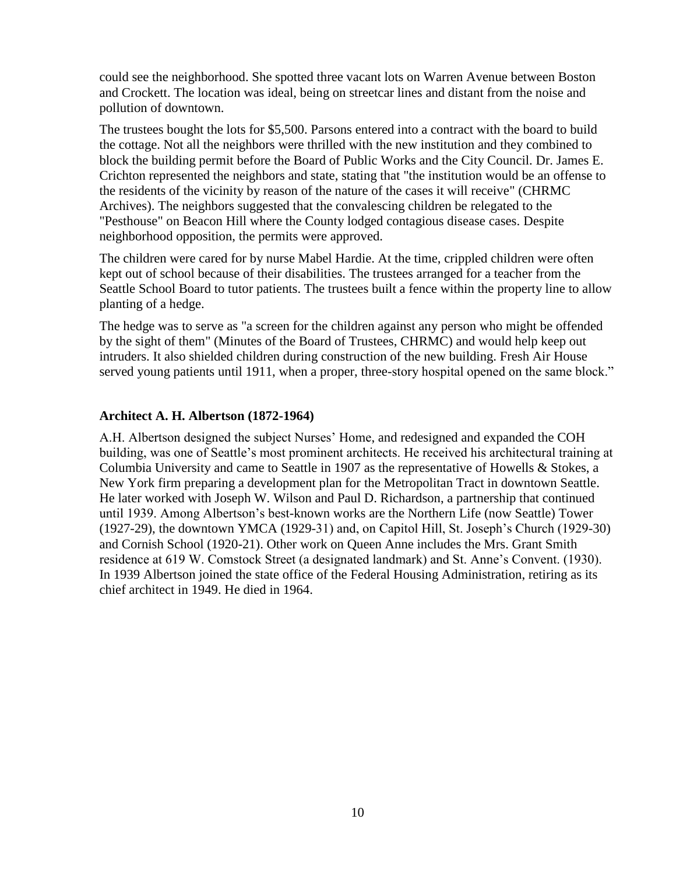could see the neighborhood. She spotted three vacant lots on Warren Avenue between Boston and Crockett. The location was ideal, being on streetcar lines and distant from the noise and pollution of downtown.

The trustees bought the lots for \$5,500. Parsons entered into a contract with the board to build the cottage. Not all the neighbors were thrilled with the new institution and they combined to block the building permit before the Board of Public Works and the City Council. Dr. James E. Crichton represented the neighbors and state, stating that "the institution would be an offense to the residents of the vicinity by reason of the nature of the cases it will receive" (CHRMC Archives). The neighbors suggested that the convalescing children be relegated to the "Pesthouse" on Beacon Hill where the County lodged contagious disease cases. Despite neighborhood opposition, the permits were approved.

The children were cared for by nurse Mabel Hardie. At the time, crippled children were often kept out of school because of their disabilities. The trustees arranged for a teacher from the Seattle School Board to tutor patients. The trustees built a fence within the property line to allow planting of a hedge.

The hedge was to serve as "a screen for the children against any person who might be offended by the sight of them" (Minutes of the Board of Trustees, CHRMC) and would help keep out intruders. It also shielded children during construction of the new building. Fresh Air House served young patients until 1911, when a proper, three-story hospital opened on the same block."

#### **Architect A. H. Albertson (1872-1964)**

A.H. Albertson designed the subject Nurses' Home, and redesigned and expanded the COH building, was one of Seattle's most prominent architects. He received his architectural training at Columbia University and came to Seattle in 1907 as the representative of Howells & Stokes, a New York firm preparing a development plan for the Metropolitan Tract in downtown Seattle. He later worked with Joseph W. Wilson and Paul D. Richardson, a partnership that continued until 1939. Among Albertson's best-known works are the Northern Life (now Seattle) Tower (1927-29), the downtown YMCA (1929-31) and, on Capitol Hill, St. Joseph's Church (1929-30) and Cornish School (1920-21). Other work on Queen Anne includes the Mrs. Grant Smith residence at 619 W. Comstock Street (a designated landmark) and St. Anne's Convent. (1930). In 1939 Albertson joined the state office of the Federal Housing Administration, retiring as its chief architect in 1949. He died in 1964.